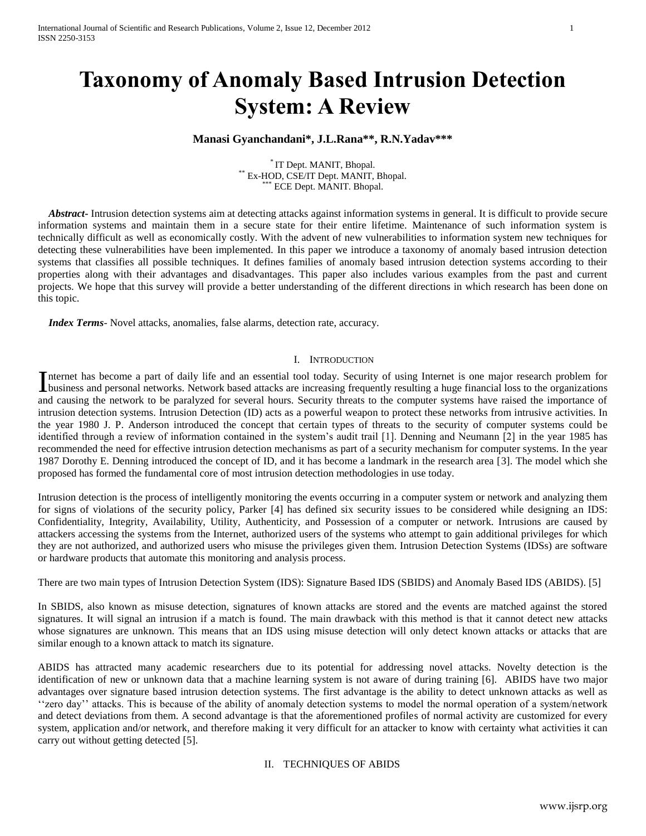# **Taxonomy of Anomaly Based Intrusion Detection System: A Review**

# **Manasi Gyanchandani\*, J.L.Rana\*\*, R.N.Yadav\*\*\***

\* IT Dept. MANIT, Bhopal. \*\* Ex-HOD, CSE/IT Dept. MANIT, Bhopal.  $*$  ECE Dept. MANIT. Bhopal.

 *Abstract***-** Intrusion detection systems aim at detecting attacks against information systems in general. It is difficult to provide secure information systems and maintain them in a secure state for their entire lifetime. Maintenance of such information system is technically difficult as well as economically costly. With the advent of new vulnerabilities to information system new techniques for detecting these vulnerabilities have been implemented. In this paper we introduce a taxonomy of anomaly based intrusion detection systems that classifies all possible techniques. It defines families of anomaly based intrusion detection systems according to their properties along with their advantages and disadvantages. This paper also includes various examples from the past and current projects. We hope that this survey will provide a better understanding of the different directions in which research has been done on this topic.

 *Index Terms*- Novel attacks, anomalies, false alarms, detection rate, accuracy.

#### I. INTRODUCTION

nternet has become a part of daily life and an essential tool today. Security of using Internet is one major research problem for Internet has become a part of daily life and an essential tool today. Security of using Internet is one major research problem for business and personal networks. Network based attacks are increasing frequently resulting a and causing the network to be paralyzed for several hours. Security threats to the computer systems have raised the importance of intrusion detection systems. Intrusion Detection (ID) acts as a powerful weapon to protect these networks from intrusive activities. In the year 1980 J. P. Anderson introduced the concept that certain types of threats to the security of computer systems could be identified through a review of information contained in the system's audit trail [1]. Denning and Neumann [2] in the year 1985 has recommended the need for effective intrusion detection mechanisms as part of a security mechanism for computer systems. In the year 1987 Dorothy E. Denning introduced the concept of ID, and it has become a landmark in the research area [3]. The model which she proposed has formed the fundamental core of most intrusion detection methodologies in use today.

Intrusion detection is the process of intelligently monitoring the events occurring in a computer system or network and analyzing them for signs of violations of the security policy, Parker [4] has defined six security issues to be considered while designing an IDS: Confidentiality, Integrity, Availability, Utility, Authenticity, and Possession of a computer or network. Intrusions are caused by attackers accessing the systems from the Internet, authorized users of the systems who attempt to gain additional privileges for which they are not authorized, and authorized users who misuse the privileges given them. Intrusion Detection Systems (IDSs) are software or hardware products that automate this monitoring and analysis process.

There are two main types of Intrusion Detection System (IDS): Signature Based IDS (SBIDS) and Anomaly Based IDS (ABIDS). [5]

In SBIDS, also known as misuse detection, signatures of known attacks are stored and the events are matched against the stored signatures. It will signal an intrusion if a match is found. The main drawback with this method is that it cannot detect new attacks whose signatures are unknown. This means that an IDS using misuse detection will only detect known attacks or attacks that are similar enough to a known attack to match its signature.

ABIDS has attracted many academic researchers due to its potential for addressing novel attacks. Novelty detection is the identification of new or unknown data that a machine learning system is not aware of during training [6]. ABIDS have two major advantages over signature based intrusion detection systems. The first advantage is the ability to detect unknown attacks as well as ''zero day'' attacks. This is because of the ability of anomaly detection systems to model the normal operation of a system/network and detect deviations from them. A second advantage is that the aforementioned profiles of normal activity are customized for every system, application and/or network, and therefore making it very difficult for an attacker to know with certainty what activities it can carry out without getting detected [5].

## II. TECHNIQUES OF ABIDS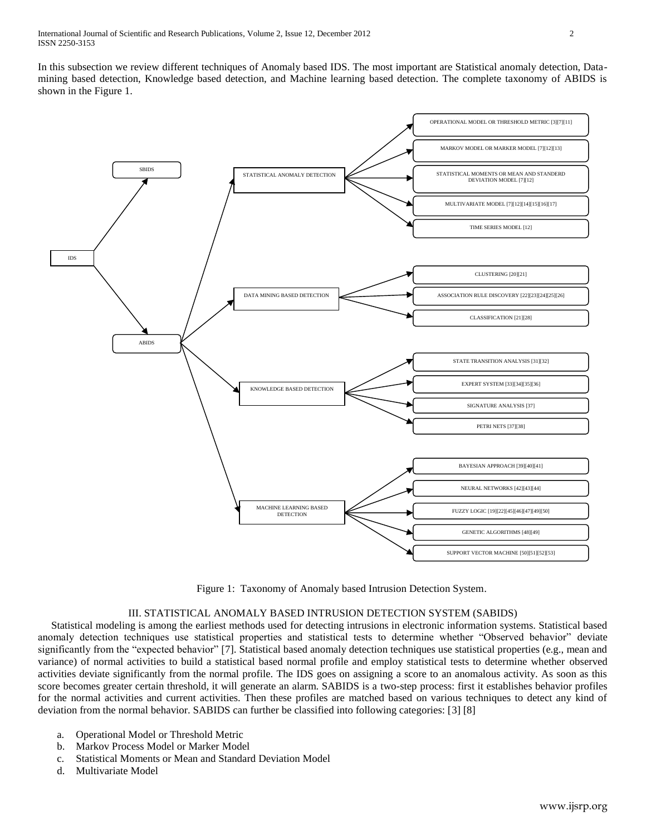In this subsection we review different techniques of Anomaly based IDS. The most important are Statistical anomaly detection, Datamining based detection, Knowledge based detection, and Machine learning based detection. The complete taxonomy of ABIDS is shown in the Figure 1.



Figure 1: Taxonomy of Anomaly based Intrusion Detection System.

## III. STATISTICAL ANOMALY BASED INTRUSION DETECTION SYSTEM (SABIDS)

 Statistical modeling is among the earliest methods used for detecting intrusions in electronic information systems. Statistical based anomaly detection techniques use statistical properties and statistical tests to determine whether "Observed behavior" deviate significantly from the "expected behavior" [7]. Statistical based anomaly detection techniques use statistical properties (e.g., mean and variance) of normal activities to build a statistical based normal profile and employ statistical tests to determine whether observed activities deviate significantly from the normal profile. The IDS goes on assigning a score to an anomalous activity. As soon as this score becomes greater certain threshold, it will generate an alarm. SABIDS is a two-step process: first it establishes behavior profiles for the normal activities and current activities. Then these profiles are matched based on various techniques to detect any kind of deviation from the normal behavior. SABIDS can further be classified into following categories: [3] [8]

- a. Operational Model or Threshold Metric
- b. Markov Process Model or Marker Model
- c. Statistical Moments or Mean and Standard Deviation Model
- d. Multivariate Model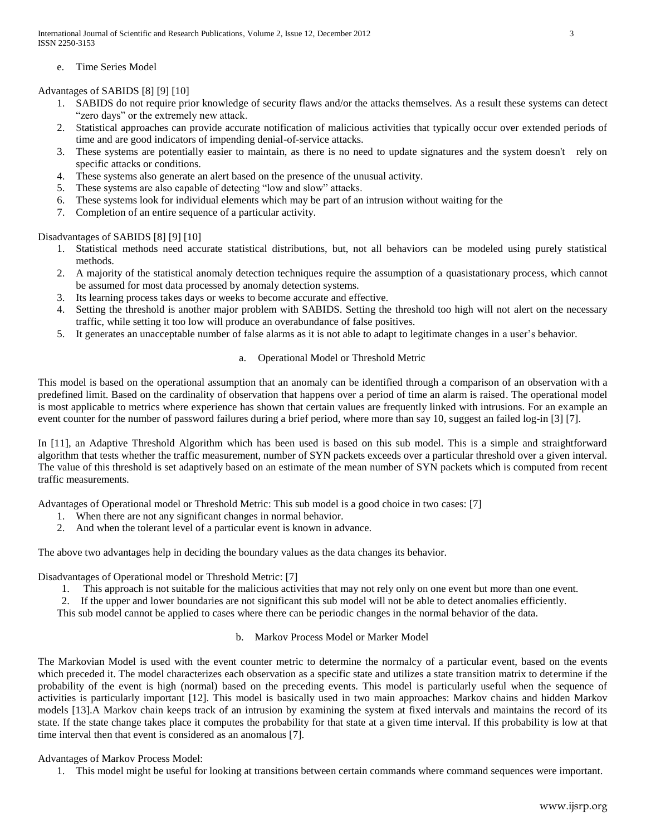e. Time Series Model

## Advantages of SABIDS [8] [9] [10]

- 1. SABIDS do not require prior knowledge of security flaws and/or the attacks themselves. As a result these systems can detect "zero days" or the extremely new attack.
- 2. Statistical approaches can provide accurate notification of malicious activities that typically occur over extended periods of time and are good indicators of impending denial-of-service attacks.
- 3. These systems are potentially easier to maintain, as there is no need to update signatures and the system doesn't rely on specific attacks or conditions.
- 4. These systems also generate an alert based on the presence of the unusual activity.
- 5. These systems are also capable of detecting "low and slow" attacks.
- 6. These systems look for individual elements which may be part of an intrusion without waiting for the
- 7. Completion of an entire sequence of a particular activity.

## Disadvantages of SABIDS [8] [9] [10]

- 1. Statistical methods need accurate statistical distributions, but, not all behaviors can be modeled using purely statistical methods.
- 2. A majority of the statistical anomaly detection techniques require the assumption of a quasistationary process, which cannot be assumed for most data processed by anomaly detection systems.
- 3. Its learning process takes days or weeks to become accurate and effective.
- 4. Setting the threshold is another major problem with SABIDS. Setting the threshold too high will not alert on the necessary traffic, while setting it too low will produce an overabundance of false positives.
- 5. It generates an unacceptable number of false alarms as it is not able to adapt to legitimate changes in a user's behavior.

## a. Operational Model or Threshold Metric

This model is based on the operational assumption that an anomaly can be identified through a comparison of an observation with a predefined limit. Based on the cardinality of observation that happens over a period of time an alarm is raised. The operational model is most applicable to metrics where experience has shown that certain values are frequently linked with intrusions. For an example an event counter for the number of password failures during a brief period, where more than say 10, suggest an failed log-in [3] [7].

In [11], an Adaptive Threshold Algorithm which has been used is based on this sub model. This is a simple and straightforward algorithm that tests whether the traffic measurement, number of SYN packets exceeds over a particular threshold over a given interval. The value of this threshold is set adaptively based on an estimate of the mean number of SYN packets which is computed from recent traffic measurements.

Advantages of Operational model or Threshold Metric: This sub model is a good choice in two cases: [7]

- 1. When there are not any significant changes in normal behavior.
- 2. And when the tolerant level of a particular event is known in advance.

The above two advantages help in deciding the boundary values as the data changes its behavior.

Disadvantages of Operational model or Threshold Metric: [7]

1. This approach is not suitable for the malicious activities that may not rely only on one event but more than one event.

2. If the upper and lower boundaries are not significant this sub model will not be able to detect anomalies efficiently.

This sub model cannot be applied to cases where there can be periodic changes in the normal behavior of the data.

## b. Markov Process Model or Marker Model

The Markovian Model is used with the event counter metric to determine the normalcy of a particular event, based on the events which preceded it. The model characterizes each observation as a specific state and utilizes a state transition matrix to determine if the probability of the event is high (normal) based on the preceding events. This model is particularly useful when the sequence of activities is particularly important [12]. This model is basically used in two main approaches: Markov chains and hidden Markov models [13].A Markov chain keeps track of an intrusion by examining the system at fixed intervals and maintains the record of its state. If the state change takes place it computes the probability for that state at a given time interval. If this probability is low at that time interval then that event is considered as an anomalous [7].

## Advantages of Markov Process Model:

1. This model might be useful for looking at transitions between certain commands where command sequences were important.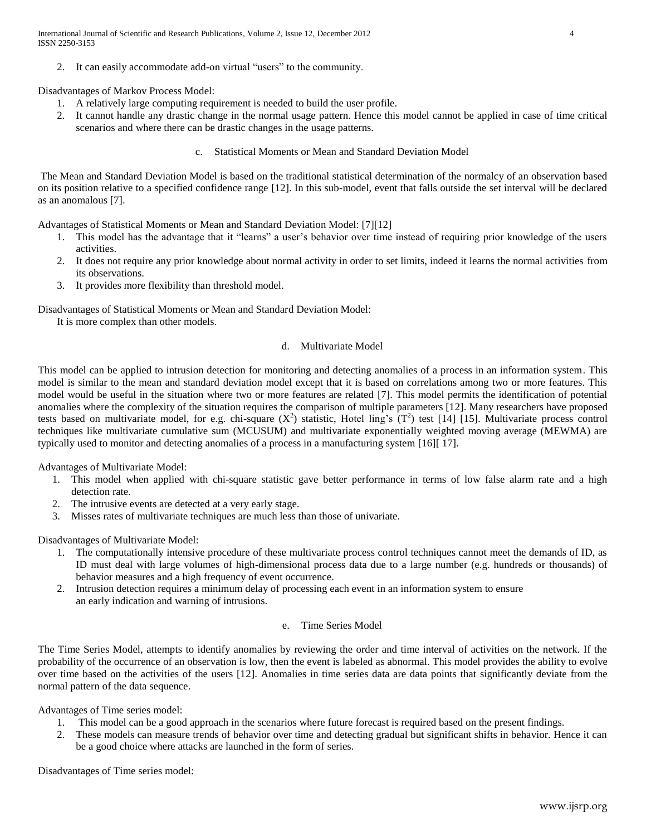2. It can easily accommodate add-on virtual "users" to the community.

Disadvantages of Markov Process Model:

- 1. A relatively large computing requirement is needed to build the user profile.
- 2. It cannot handle any drastic change in the normal usage pattern. Hence this model cannot be applied in case of time critical scenarios and where there can be drastic changes in the usage patterns.
	- c. Statistical Moments or Mean and Standard Deviation Model

The Mean and Standard Deviation Model is based on the traditional statistical determination of the normalcy of an observation based on its position relative to a specified confidence range [12]. In this sub-model, event that falls outside the set interval will be declared as an anomalous [7].

Advantages of Statistical Moments or Mean and Standard Deviation Model: [7][12]

- 1. This model has the advantage that it "learns" a user's behavior over time instead of requiring prior knowledge of the users activities.
- 2. It does not require any prior knowledge about normal activity in order to set limits, indeed it learns the normal activities from its observations.
- 3. It provides more flexibility than threshold model.

Disadvantages of Statistical Moments or Mean and Standard Deviation Model:

It is more complex than other models.

## d. Multivariate Model

This model can be applied to intrusion detection for monitoring and detecting anomalies of a process in an information system. This model is similar to the mean and standard deviation model except that it is based on correlations among two or more features. This model would be useful in the situation where two or more features are related [7]. This model permits the identification of potential anomalies where the complexity of the situation requires the comparison of multiple parameters [12]. Many researchers have proposed tests based on multivariate model, for e.g. chi-square  $(X^2)$  statistic, Hotel ling's  $(T^2)$  test [14] [15]. Multivariate process control techniques like multivariate cumulative sum (MCUSUM) and multivariate exponentially weighted moving average (MEWMA) are typically used to monitor and detecting anomalies of a process in a manufacturing system [16][ 17].

Advantages of Multivariate Model:

- 1. This model when applied with chi-square statistic gave better performance in terms of low false alarm rate and a high detection rate.
- 2. The intrusive events are detected at a very early stage.
- 3. Misses rates of multivariate techniques are much less than those of univariate.

Disadvantages of Multivariate Model:

- 1. The computationally intensive procedure of these multivariate process control techniques cannot meet the demands of ID, as ID must deal with large volumes of high-dimensional process data due to a large number (e.g. hundreds or thousands) of behavior measures and a high frequency of event occurrence.
- 2. Intrusion detection requires a minimum delay of processing each event in an information system to ensure an early indication and warning of intrusions.

## e. Time Series Model

The Time Series Model, attempts to identify anomalies by reviewing the order and time interval of activities on the network. If the probability of the occurrence of an observation is low, then the event is labeled as abnormal. This model provides the ability to evolve over time based on the activities of the users [12]. Anomalies in time series data are data points that significantly deviate from the normal pattern of the data sequence.

Advantages of Time series model:

- 1. This model can be a good approach in the scenarios where future forecast is required based on the present findings.
- 2. These models can measure trends of behavior over time and detecting gradual but significant shifts in behavior. Hence it can be a good choice where attacks are launched in the form of series.

Disadvantages of Time series model: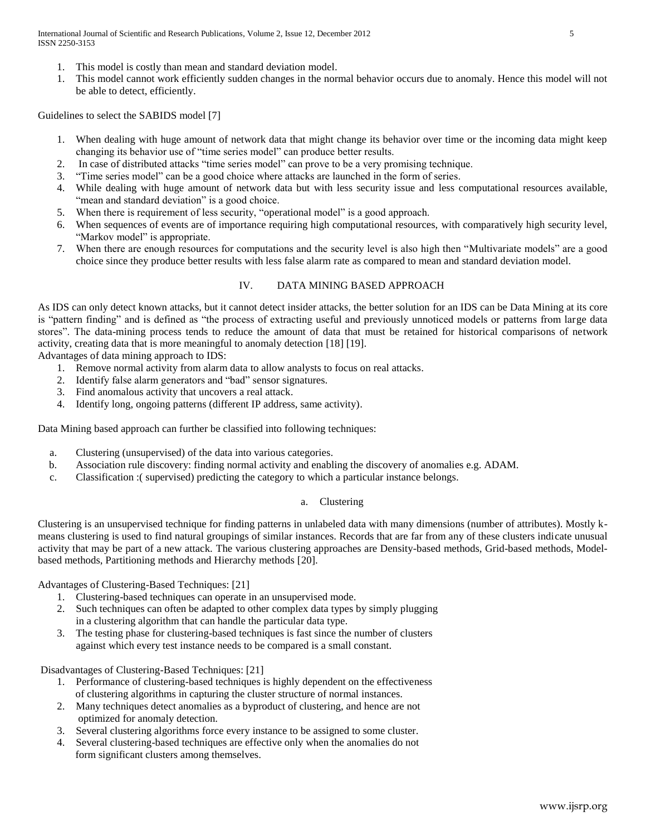- 1. This model is costly than mean and standard deviation model.
- 1. This model cannot work efficiently sudden changes in the normal behavior occurs due to anomaly. Hence this model will not be able to detect, efficiently.

Guidelines to select the SABIDS model [7]

- 1. When dealing with huge amount of network data that might change its behavior over time or the incoming data might keep changing its behavior use of "time series model" can produce better results.
- 2. In case of distributed attacks "time series model" can prove to be a very promising technique.
- 3. "Time series model" can be a good choice where attacks are launched in the form of series.
- 4. While dealing with huge amount of network data but with less security issue and less computational resources available, "mean and standard deviation" is a good choice.
- 5. When there is requirement of less security, "operational model" is a good approach.
- 6. When sequences of events are of importance requiring high computational resources, with comparatively high security level, "Markov model" is appropriate.
- 7. When there are enough resources for computations and the security level is also high then "Multivariate models" are a good choice since they produce better results with less false alarm rate as compared to mean and standard deviation model.

## IV. DATA MINING BASED APPROACH

As IDS can only detect known attacks, but it cannot detect insider attacks, the better solution for an IDS can be Data Mining at its core is "pattern finding" and is defined as "the process of extracting useful and previously unnoticed models or patterns from large data stores". The data-mining process tends to reduce the amount of data that must be retained for historical comparisons of network activity, creating data that is more meaningful to anomaly detection [18] [19].

Advantages of data mining approach to IDS:

- 1. Remove normal activity from alarm data to allow analysts to focus on real attacks.
- 2. Identify false alarm generators and "bad" sensor signatures.
- 3. Find anomalous activity that uncovers a real attack.
- 4. Identify long, ongoing patterns (different IP address, same activity).

Data Mining based approach can further be classified into following techniques:

- a. Clustering (unsupervised) of the data into various categories.
- b. Association rule discovery: finding normal activity and enabling the discovery of anomalies e.g. ADAM.
- c. Classification :( supervised) predicting the category to which a particular instance belongs.

## a. Clustering

Clustering is an unsupervised technique for finding patterns in unlabeled data with many dimensions (number of attributes). Mostly kmeans clustering is used to find natural groupings of similar instances. Records that are far from any of these clusters indicate unusual activity that may be part of a new attack. The various clustering approaches are Density-based methods, Grid-based methods, Modelbased methods, Partitioning methods and Hierarchy methods [20].

Advantages of Clustering-Based Techniques: [21]

- 1. Clustering-based techniques can operate in an unsupervised mode.
- 2. Such techniques can often be adapted to other complex data types by simply plugging in a clustering algorithm that can handle the particular data type.
- 3. The testing phase for clustering-based techniques is fast since the number of clusters against which every test instance needs to be compared is a small constant.

Disadvantages of Clustering-Based Techniques: [21]

- 1. Performance of clustering-based techniques is highly dependent on the effectiveness of clustering algorithms in capturing the cluster structure of normal instances.
- 2. Many techniques detect anomalies as a byproduct of clustering, and hence are not optimized for anomaly detection.
- 3. Several clustering algorithms force every instance to be assigned to some cluster.
- 4. Several clustering-based techniques are effective only when the anomalies do not form significant clusters among themselves.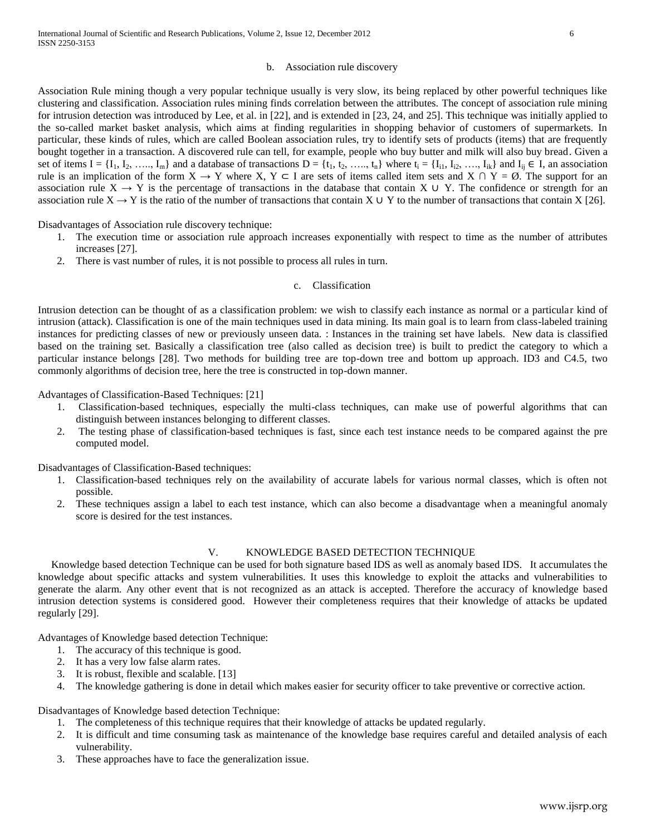#### b. Association rule discovery

Association Rule mining though a very popular technique usually is very slow, its being replaced by other powerful techniques like clustering and classification. Association rules mining finds correlation between the attributes. The concept of association rule mining for intrusion detection was introduced by Lee, et al. in [22], and is extended in [23, 24, and 25]. This technique was initially applied to the so-called market basket analysis, which aims at finding regularities in shopping behavior of customers of supermarkets. In particular, these kinds of rules, which are called Boolean association rules, try to identify sets of products (items) that are frequently bought together in a transaction. A discovered rule can tell, for example, people who buy butter and milk will also buy bread. Given a set of items  $I = \{I_1, I_2, \ldots, I_m\}$  and a database of transactions  $D = \{t_1, t_2, \ldots, t_n\}$  where  $t_i = \{I_{i1}, I_{i2}, \ldots, I_{ik}\}$  and  $I_{ij} \in I$ , an association rule is an implication of the form  $X \to Y$  where  $X, Y \subset I$  are sets of items called item sets and  $X \cap Y = \emptyset$ . The support for an association rule  $X \to Y$  is the percentage of transactions in the database that contain X ∪ Y. The confidence or strength for an association rule  $X \to Y$  is the ratio of the number of transactions that contain X ∪ Y to the number of transactions that contain X [26].

Disadvantages of Association rule discovery technique:

- 1. The execution time or association rule approach increases exponentially with respect to time as the number of attributes increases [27].
- 2. There is vast number of rules, it is not possible to process all rules in turn.

#### c. Classification

Intrusion detection can be thought of as a classification problem: we wish to classify each instance as normal or a particular kind of intrusion (attack). Classification is one of the main techniques used in data mining. Its main goal is to learn from class-labeled training instances for predicting classes of new or previously unseen data. : Instances in the training set have labels. New data is classified based on the training set. Basically a classification tree (also called as decision tree) is built to predict the category to which a particular instance belongs [28]. Two methods for building tree are top-down tree and bottom up approach. ID3 and C4.5, two commonly algorithms of decision tree, here the tree is constructed in top-down manner.

Advantages of Classification-Based Techniques: [21]

- 1. Classification-based techniques, especially the multi-class techniques, can make use of powerful algorithms that can distinguish between instances belonging to different classes.
- 2. The testing phase of classification-based techniques is fast, since each test instance needs to be compared against the pre computed model.

Disadvantages of Classification-Based techniques:

- 1. Classification-based techniques rely on the availability of accurate labels for various normal classes, which is often not possible.
- 2. These techniques assign a label to each test instance, which can also become a disadvantage when a meaningful anomaly score is desired for the test instances.

# V. KNOWLEDGE BASED DETECTION TECHNIQUE

 Knowledge based detection Technique can be used for both signature based IDS as well as anomaly based IDS. It accumulates the knowledge about specific attacks and system vulnerabilities. It uses this knowledge to exploit the attacks and vulnerabilities to generate the alarm. Any other event that is not recognized as an attack is accepted. Therefore the accuracy of knowledge based intrusion detection systems is considered good. However their completeness requires that their knowledge of attacks be updated regularly [29].

Advantages of Knowledge based detection Technique:

- 1. The accuracy of this technique is good.
- 2. It has a very low false alarm rates.
- 3. It is robust, flexible and scalable. [13]
- 4. The knowledge gathering is done in detail which makes easier for security officer to take preventive or corrective action.

Disadvantages of Knowledge based detection Technique:

- 1. The completeness of this technique requires that their knowledge of attacks be updated regularly.
- 2. It is difficult and time consuming task as maintenance of the knowledge base requires careful and detailed analysis of each vulnerability.
- 3. These approaches have to face the generalization issue.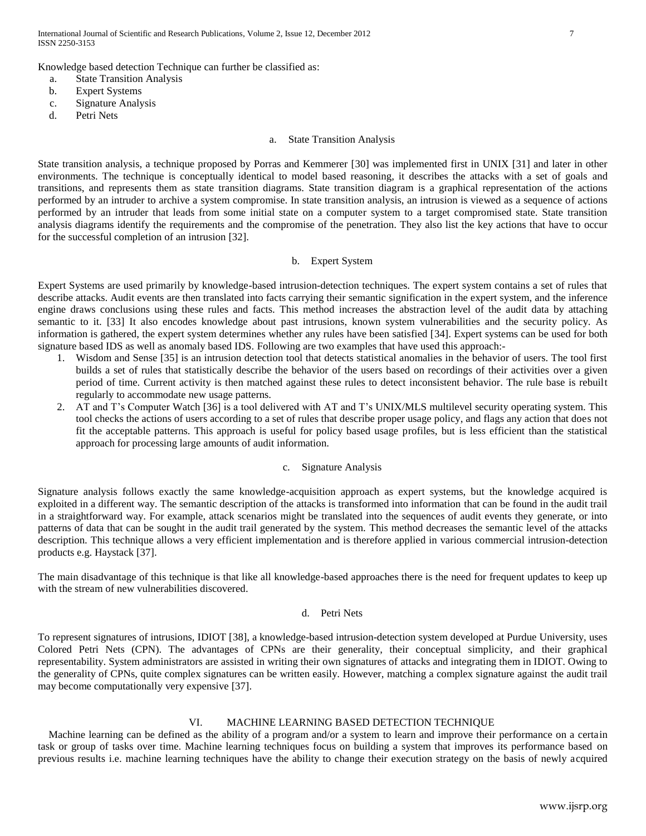Knowledge based detection Technique can further be classified as:

- a. State Transition Analysis
- b. Expert Systems
- c. Signature Analysis
- d. Petri Nets

#### a. State Transition Analysis

State transition analysis, a technique proposed by Porras and Kemmerer [30] was implemented first in UNIX [31] and later in other environments. The technique is conceptually identical to model based reasoning, it describes the attacks with a set of goals and transitions, and represents them as state transition diagrams. State transition diagram is a graphical representation of the actions performed by an intruder to archive a system compromise. In state transition analysis, an intrusion is viewed as a sequence of actions performed by an intruder that leads from some initial state on a computer system to a target compromised state. State transition analysis diagrams identify the requirements and the compromise of the penetration. They also list the key actions that have to occur for the successful completion of an intrusion [32].

## b. Expert System

Expert Systems are used primarily by knowledge-based intrusion-detection techniques. The expert system contains a set of rules that describe attacks. Audit events are then translated into facts carrying their semantic signification in the expert system, and the inference engine draws conclusions using these rules and facts. This method increases the abstraction level of the audit data by attaching semantic to it. [33] It also encodes knowledge about past intrusions, known system vulnerabilities and the security policy. As information is gathered, the expert system determines whether any rules have been satisfied [34]. Expert systems can be used for both signature based IDS as well as anomaly based IDS. Following are two examples that have used this approach:-

- 1. Wisdom and Sense [35] is an intrusion detection tool that detects statistical anomalies in the behavior of users. The tool first builds a set of rules that statistically describe the behavior of the users based on recordings of their activities over a given period of time. Current activity is then matched against these rules to detect inconsistent behavior. The rule base is rebuilt regularly to accommodate new usage patterns.
- 2. AT and T's Computer Watch [36] is a tool delivered with AT and T's UNIX/MLS multilevel security operating system. This tool checks the actions of users according to a set of rules that describe proper usage policy, and flags any action that does not fit the acceptable patterns. This approach is useful for policy based usage profiles, but is less efficient than the statistical approach for processing large amounts of audit information.

#### c. Signature Analysis

Signature analysis follows exactly the same knowledge-acquisition approach as expert systems, but the knowledge acquired is exploited in a different way. The semantic description of the attacks is transformed into information that can be found in the audit trail in a straightforward way. For example, attack scenarios might be translated into the sequences of audit events they generate, or into patterns of data that can be sought in the audit trail generated by the system. This method decreases the semantic level of the attacks description. This technique allows a very efficient implementation and is therefore applied in various commercial intrusion-detection products e.g. Haystack [37].

The main disadvantage of this technique is that like all knowledge-based approaches there is the need for frequent updates to keep up with the stream of new vulnerabilities discovered.

#### d. Petri Nets

To represent signatures of intrusions, IDIOT [38], a knowledge-based intrusion-detection system developed at Purdue University, uses Colored Petri Nets (CPN). The advantages of CPNs are their generality, their conceptual simplicity, and their graphical representability. System administrators are assisted in writing their own signatures of attacks and integrating them in IDIOT. Owing to the generality of CPNs, quite complex signatures can be written easily. However, matching a complex signature against the audit trail may become computationally very expensive [37].

## VI. MACHINE LEARNING BASED DETECTION TECHNIQUE

 Machine learning can be defined as the ability of a program and/or a system to learn and improve their performance on a certain task or group of tasks over time. Machine learning techniques focus on building a system that improves its performance based on previous results i.e. machine learning techniques have the ability to change their execution strategy on the basis of newly acquired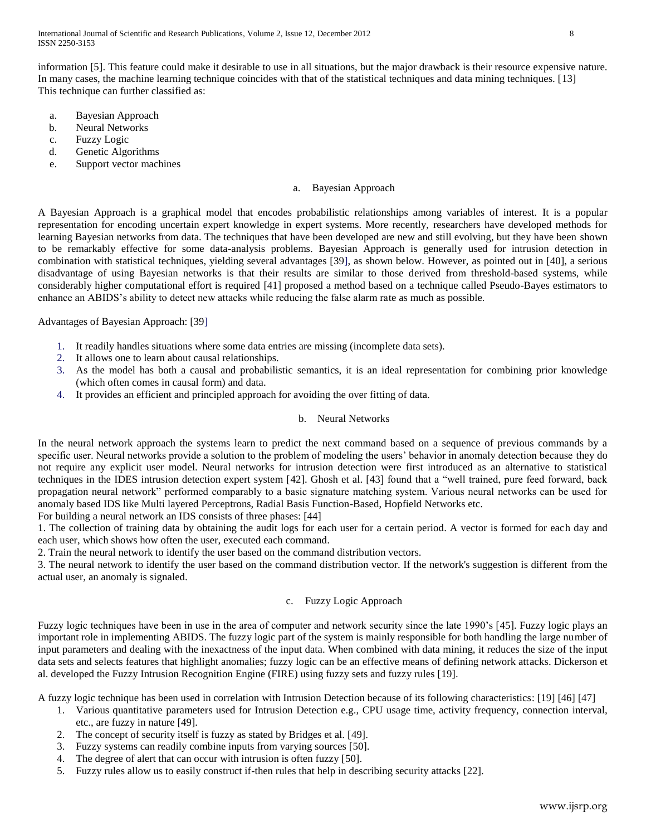information [5]. This feature could make it desirable to use in all situations, but the major drawback is their resource expensive nature. In many cases, the machine learning technique coincides with that of the statistical techniques and data mining techniques. [13] This technique can further classified as:

- a. Bayesian Approach
- b. Neural Networks
- c. Fuzzy Logic
- d. Genetic Algorithms
- e. Support vector machines

## a. Bayesian Approach

A Bayesian Approach is a graphical model that encodes probabilistic relationships among variables of interest. It is a popular representation for encoding uncertain expert knowledge in expert systems. More recently, researchers have developed methods for learning Bayesian networks from data. The techniques that have been developed are new and still evolving, but they have been shown to be remarkably effective for some data-analysis problems. Bayesian Approach is generally used for intrusion detection in combination with statistical techniques, yielding several advantages [39], as shown below. However, as pointed out in [40], a serious disadvantage of using Bayesian networks is that their results are similar to those derived from threshold-based systems, while considerably higher computational effort is required [41] proposed a method based on a technique called Pseudo-Bayes estimators to enhance an ABIDS's ability to detect new attacks while reducing the false alarm rate as much as possible.

## Advantages of Bayesian Approach: [39]

- 1. It readily handles situations where some data entries are missing (incomplete data sets).
- 2. It allows one to learn about causal relationships.
- 3. As the model has both a causal and probabilistic semantics, it is an ideal representation for combining prior knowledge (which often comes in causal form) and data.
- 4. It provides an efficient and principled approach for avoiding the over fitting of data.

## b. Neural Networks

In the neural network approach the systems learn to predict the next command based on a sequence of previous commands by a specific user. Neural networks provide a solution to the problem of modeling the users' behavior in anomaly detection because they do not require any explicit user model. Neural networks for intrusion detection were first introduced as an alternative to statistical techniques in the IDES intrusion detection expert system [42]. Ghosh et al. [43] found that a "well trained, pure feed forward, back propagation neural network" performed comparably to a basic signature matching system. Various neural networks can be used for anomaly based IDS like Multi layered Perceptrons, Radial Basis Function-Based, Hopfield Networks etc.

For building a neural network an IDS consists of three phases: [44]

1. The collection of training data by obtaining the audit logs for each user for a certain period. A vector is formed for each day and each user, which shows how often the user, executed each command.

2. Train the neural network to identify the user based on the command distribution vectors.

3. The neural network to identify the user based on the command distribution vector. If the network's suggestion is different from the actual user, an anomaly is signaled.

## c. Fuzzy Logic Approach

Fuzzy logic techniques have been in use in the area of computer and network security since the late 1990's [45]. Fuzzy logic plays an important role in implementing ABIDS. The fuzzy logic part of the system is mainly responsible for both handling the large number of input parameters and dealing with the inexactness of the input data. When combined with data mining, it reduces the size of the input data sets and selects features that highlight anomalies; fuzzy logic can be an effective means of defining network attacks. Dickerson et al. developed the Fuzzy Intrusion Recognition Engine (FIRE) using fuzzy sets and fuzzy rules [19].

A fuzzy logic technique has been used in correlation with Intrusion Detection because of its following characteristics: [19] [46] [47]

- 1. Various quantitative parameters used for Intrusion Detection e.g., CPU usage time, activity frequency, connection interval, etc., are fuzzy in nature [49].
- 2. The concept of security itself is fuzzy as stated by Bridges et al. [49].
- 3. Fuzzy systems can readily combine inputs from varying sources [50].
- 4. The degree of alert that can occur with intrusion is often fuzzy [50].
- 5. Fuzzy rules allow us to easily construct if-then rules that help in describing security attacks [22].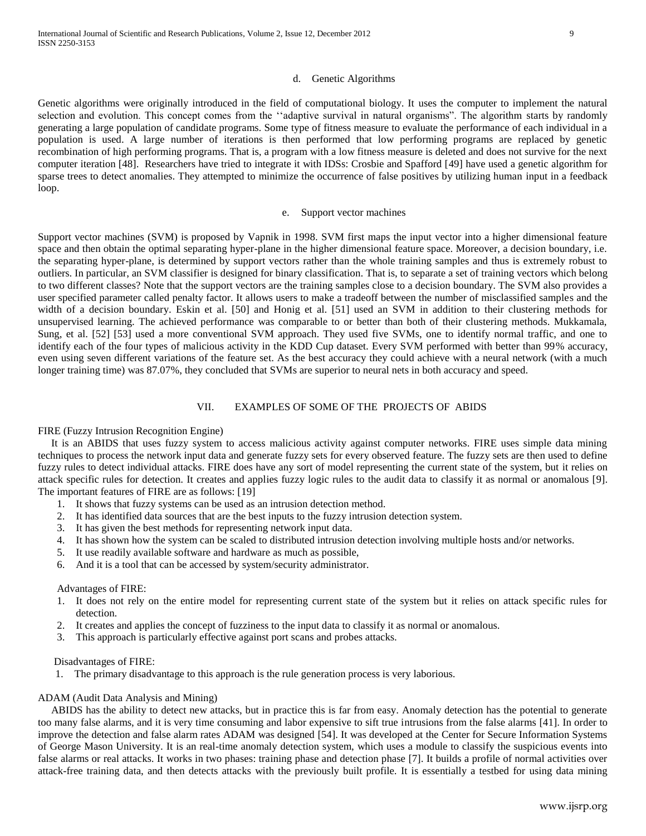#### d. Genetic Algorithms

Genetic algorithms were originally introduced in the field of computational biology. It uses the computer to implement the natural selection and evolution. This concept comes from the ''adaptive survival in natural organisms". The algorithm starts by randomly generating a large population of candidate programs. Some type of fitness measure to evaluate the performance of each individual in a population is used. A large number of iterations is then performed that low performing programs are replaced by genetic recombination of high performing programs. That is, a program with a low fitness measure is deleted and does not survive for the next computer iteration [48]. Researchers have tried to integrate it with IDSs: Crosbie and Spafford [49] have used a genetic algorithm for sparse trees to detect anomalies. They attempted to minimize the occurrence of false positives by utilizing human input in a feedback loop.

#### e. Support vector machines

Support vector machines (SVM) is proposed by Vapnik in 1998. SVM first maps the input vector into a higher dimensional feature space and then obtain the optimal separating hyper-plane in the higher dimensional feature space. Moreover, a decision boundary, i.e. the separating hyper-plane, is determined by support vectors rather than the whole training samples and thus is extremely robust to outliers. In particular, an SVM classifier is designed for binary classification. That is, to separate a set of training vectors which belong to two different classes? Note that the support vectors are the training samples close to a decision boundary. The SVM also provides a user specified parameter called penalty factor. It allows users to make a tradeoff between the number of misclassified samples and the width of a decision boundary. Eskin et al. [50] and Honig et al. [51] used an SVM in addition to their clustering methods for unsupervised learning. The achieved performance was comparable to or better than both of their clustering methods. Mukkamala, Sung, et al. [52] [53] used a more conventional SVM approach. They used five SVMs, one to identify normal traffic, and one to identify each of the four types of malicious activity in the KDD Cup dataset. Every SVM performed with better than 99% accuracy, even using seven different variations of the feature set. As the best accuracy they could achieve with a neural network (with a much longer training time) was 87.07%, they concluded that SVMs are superior to neural nets in both accuracy and speed.

## VII. EXAMPLES OF SOME OF THE PROJECTS OF ABIDS

FIRE (Fuzzy Intrusion Recognition Engine)

 It is an ABIDS that uses fuzzy system to access malicious activity against computer networks. FIRE uses simple data mining techniques to process the network input data and generate fuzzy sets for every observed feature. The fuzzy sets are then used to define fuzzy rules to detect individual attacks. FIRE does have any sort of model representing the current state of the system, but it relies on attack specific rules for detection. It creates and applies fuzzy logic rules to the audit data to classify it as normal or anomalous [9]. The important features of FIRE are as follows: [19]

- 1. It shows that fuzzy systems can be used as an intrusion detection method.
- 2. It has identified data sources that are the best inputs to the fuzzy intrusion detection system.
- 3. It has given the best methods for representing network input data.
- 4. It has shown how the system can be scaled to distributed intrusion detection involving multiple hosts and/or networks.
- 5. It use readily available software and hardware as much as possible,
- 6. And it is a tool that can be accessed by system/security administrator.

#### Advantages of FIRE:

- 1. It does not rely on the entire model for representing current state of the system but it relies on attack specific rules for detection.
- 2. It creates and applies the concept of fuzziness to the input data to classify it as normal or anomalous.
- 3. This approach is particularly effective against port scans and probes attacks.

#### Disadvantages of FIRE:

1. The primary disadvantage to this approach is the rule generation process is very laborious.

#### ADAM (Audit Data Analysis and Mining)

 ABIDS has the ability to detect new attacks, but in practice this is far from easy. Anomaly detection has the potential to generate too many false alarms, and it is very time consuming and labor expensive to sift true intrusions from the false alarms [41]. In order to improve the detection and false alarm rates ADAM was designed [54]. It was developed at the Center for Secure Information Systems of George Mason University. It is an real-time anomaly detection system, which uses a module to classify the suspicious events into false alarms or real attacks. It works in two phases: training phase and detection phase [7]. It builds a profile of normal activities over attack-free training data, and then detects attacks with the previously built profile. It is essentially a testbed for using data mining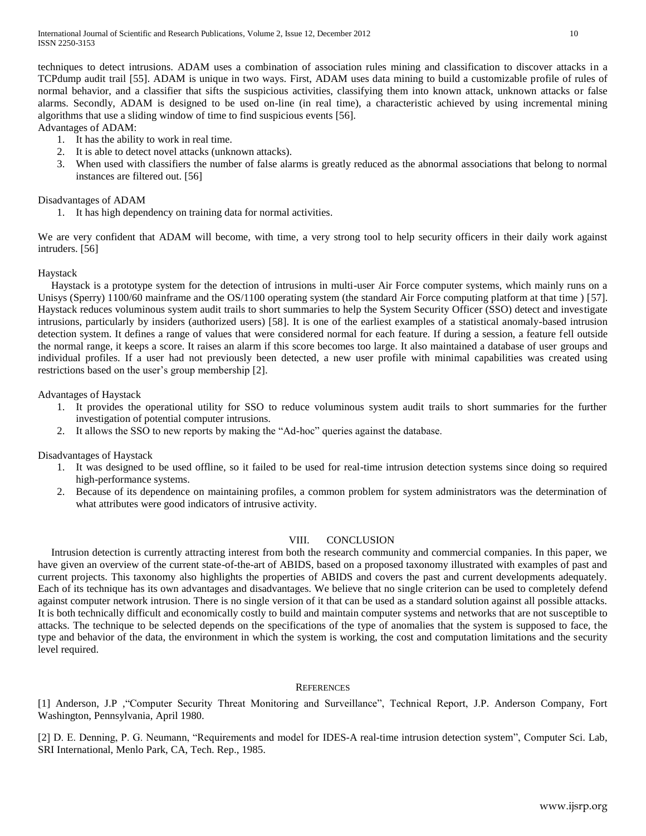techniques to detect intrusions. ADAM uses a combination of association rules mining and classification to discover attacks in a TCPdump audit trail [55]. ADAM is unique in two ways. First, ADAM uses data mining to build a customizable profile of rules of normal behavior, and a classifier that sifts the suspicious activities, classifying them into known attack, unknown attacks or false alarms. Secondly, ADAM is designed to be used on-line (in real time), a characteristic achieved by using incremental mining algorithms that use a sliding window of time to find suspicious events [56].

Advantages of ADAM:

- 1. It has the ability to work in real time.
- 2. It is able to detect novel attacks (unknown attacks).
- 3. When used with classifiers the number of false alarms is greatly reduced as the abnormal associations that belong to normal instances are filtered out. [56]

#### Disadvantages of ADAM

1. It has high dependency on training data for normal activities.

We are very confident that ADAM will become, with time, a very strong tool to help security officers in their daily work against intruders. [56]

#### Haystack

 Haystack is a prototype system for the detection of intrusions in multi-user Air Force computer systems, which mainly runs on a Unisys (Sperry) 1100/60 mainframe and the OS/1100 operating system (the standard Air Force computing platform at that time ) [57]. Haystack reduces voluminous system audit trails to short summaries to help the System Security Officer (SSO) detect and investigate intrusions, particularly by insiders (authorized users) [58]. It is one of the earliest examples of a statistical anomaly-based intrusion detection system. It defines a range of values that were considered normal for each feature. If during a session, a feature fell outside the normal range, it keeps a score. It raises an alarm if this score becomes too large. It also maintained a database of user groups and individual profiles. If a user had not previously been detected, a new user profile with minimal capabilities was created using restrictions based on the user's group membership [2].

#### Advantages of Haystack

- 1. It provides the operational utility for SSO to reduce voluminous system audit trails to short summaries for the further investigation of potential computer intrusions.
- 2. It allows the SSO to new reports by making the "Ad-hoc" queries against the database.

Disadvantages of Haystack

- 1. It was designed to be used offline, so it failed to be used for real-time intrusion detection systems since doing so required high-performance systems.
- 2. Because of its dependence on maintaining profiles, a common problem for system administrators was the determination of what attributes were good indicators of intrusive activity.

## VIII. CONCLUSION

 Intrusion detection is currently attracting interest from both the research community and commercial companies. In this paper, we have given an overview of the current state-of-the-art of ABIDS, based on a proposed taxonomy illustrated with examples of past and current projects. This taxonomy also highlights the properties of ABIDS and covers the past and current developments adequately. Each of its technique has its own advantages and disadvantages. We believe that no single criterion can be used to completely defend against computer network intrusion. There is no single version of it that can be used as a standard solution against all possible attacks. It is both technically difficult and economically costly to build and maintain computer systems and networks that are not susceptible to attacks. The technique to be selected depends on the specifications of the type of anomalies that the system is supposed to face, the type and behavior of the data, the environment in which the system is working, the cost and computation limitations and the security level required.

#### **REFERENCES**

[1] Anderson, J.P ,"Computer Security Threat Monitoring and Surveillance", Technical Report, J.P. Anderson Company, Fort Washington, Pennsylvania, April 1980.

[2] D. E. Denning, P. G. Neumann, "Requirements and model for IDES-A real-time intrusion detection system", Computer Sci. Lab, SRI International, Menlo Park, CA, Tech. Rep., 1985.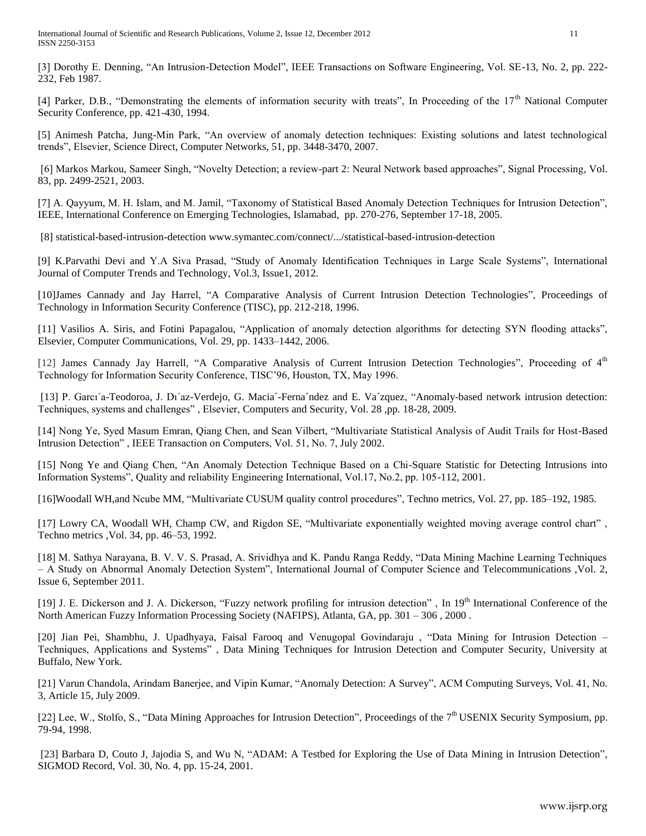International Journal of Scientific and Research Publications, Volume 2, Issue 12, December 2012 11 ISSN 2250-3153

[3] Dorothy E. Denning, "An Intrusion-Detection Model", IEEE Transactions on Software Engineering, Vol. SE-13, No. 2, pp. 222- 232, Feb 1987.

[4] Parker, D.B., "Demonstrating the elements of information security with treats", In Proceeding of the 17<sup>th</sup> National Computer Security Conference, pp. 421-430, 1994.

[5] Animesh Patcha, Jung-Min Park, "An overview of anomaly detection techniques: Existing solutions and latest technological trends", Elsevier, Science Direct, Computer Networks, 51, pp. 3448-3470, 2007.

[6] Markos Markou, Sameer Singh, "Novelty Detection; a review-part 2: Neural Network based approaches", Signal Processing, Vol. 83, pp. 2499-2521, 2003.

[7] A. Qayyum, M. H. Islam, and M. Jamil, "Taxonomy of Statistical Based Anomaly Detection Techniques for Intrusion Detection", IEEE, International Conference on Emerging Technologies, Islamabad, pp. 270-276, September 17-18, 2005.

[8] statistical-based-intrusion-detection [www.symantec.com/connect/.../statistical-based-intrusion-detection](http://www.symantec.com/connect/.../statistical-based-intrusion-detection)

[9] K.Parvathi Devi and Y.A Siva Prasad, "Study of Anomaly Identification Techniques in Large Scale Systems", International Journal of Computer Trends and Technology, Vol.3, Issue1, 2012.

[10]James Cannady and Jay Harrel, "A Comparative Analysis of Current Intrusion Detection Technologies", Proceedings of Technology in Information Security Conference (TISC), pp. 212-218, 1996.

[11] Vasilios A. Siris, and Fotini Papagalou, "Application of anomaly detection algorithms for detecting SYN flooding attacks", Elsevier, Computer Communications, Vol. 29, pp. 1433–1442, 2006.

[12] James Cannady Jay Harrell, "A Comparative Analysis of Current Intrusion Detection Technologies", Proceeding of 4<sup>th</sup> Technology for Information Security Conference, TISC'96, Houston, TX, May 1996.

[13] P. Garcı´a-Teodoroa, J. Dı´az-Verdejo, G. Macia´-Ferna´ndez and E. Va´zquez, "Anomaly-based network intrusion detection: Techniques, systems and challenges" , Elsevier, Computers and Security, Vol. 28 ,pp. 18-28, 2009.

[14] Nong Ye, Syed Masum Emran, Qiang Chen, and Sean Vilbert, "Multivariate Statistical Analysis of Audit Trails for Host-Based Intrusion Detection" , IEEE Transaction on Computers, Vol. 51, No. 7, July 2002.

[15] Nong Ye and Qiang Chen, "An Anomaly Detection Technique Based on a Chi-Square Statistic for Detecting Intrusions into Information Systems", Quality and reliability Engineering International, Vol.17, No.2, pp. 105-112, 2001.

[16]Woodall WH,and Ncube MM, "Multivariate CUSUM quality control procedures", Techno metrics, Vol. 27, pp. 185–192, 1985.

[17] Lowry CA, Woodall WH, Champ CW, and Rigdon SE, "Multivariate exponentially weighted moving average control chart" , Techno metrics ,Vol. 34, pp. 46–53, 1992.

[18] M. Sathya Narayana, B. V. V. S. Prasad, A. Srividhya and K. Pandu Ranga Reddy, "Data Mining Machine Learning Techniques – A Study on Abnormal Anomaly Detection System", International Journal of Computer Science and Telecommunications ,Vol. 2, Issue 6, September 2011.

[19] J. E. Dickerson and J. A. Dickerson, "Fuzzy network profiling for intrusion detection", In 19<sup>th</sup> International Conference of the North American Fuzzy Information Processing Society (NAFIPS), Atlanta, GA, pp. 301 – 306 , 2000 .

[20] Jian Pei, Shambhu, J. Upadhyaya, Faisal Farooq and Venugopal Govindaraju , "Data Mining for Intrusion Detection – Techniques, Applications and Systems" , Data Mining Techniques for Intrusion Detection and Computer Security, University at Buffalo, New York.

[21] Varun Chandola, Arindam Banerjee, and Vipin Kumar, "Anomaly Detection: A Survey", ACM Computing Surveys, Vol. 41, No. 3, Article 15, July 2009.

[22] Lee, W., Stolfo, S., "Data Mining Approaches for Intrusion Detection", Proceedings of the 7<sup>th</sup> USENIX Security Symposium, pp. 79-94, 1998.

[23] Barbara D, Couto J, Jajodia S, and Wu N, "ADAM: A Testbed for Exploring the Use of Data Mining in Intrusion Detection", SIGMOD Record, Vol. 30, No. 4, pp. 15-24, 2001.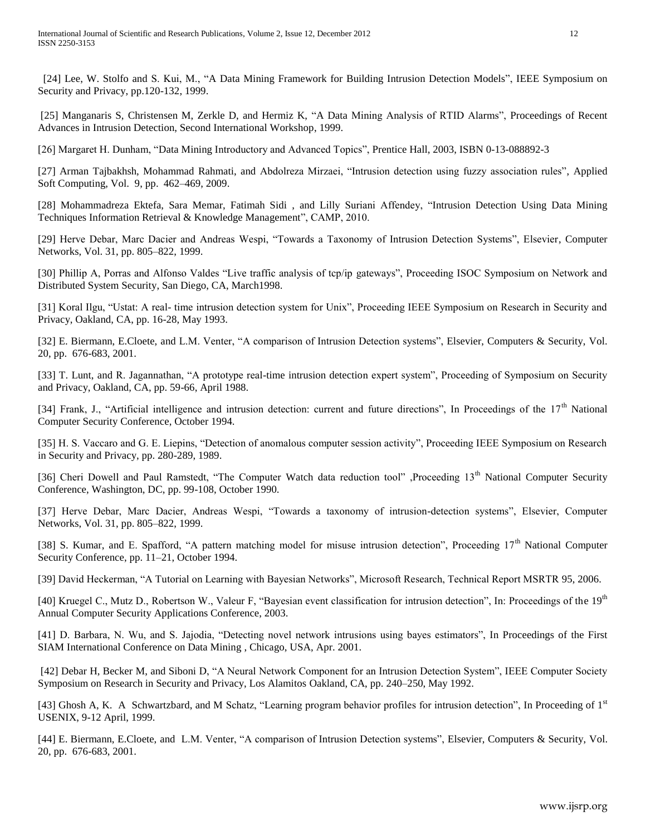[24] Lee, W. Stolfo and S. Kui, M., "A Data Mining Framework for Building Intrusion Detection Models", IEEE Symposium on Security and Privacy, pp.120-132, 1999.

[25] Manganaris S, Christensen M, Zerkle D, and Hermiz K, "A Data Mining Analysis of RTID Alarms", Proceedings of Recent Advances in Intrusion Detection, Second International Workshop, 1999.

[26] Margaret H. Dunham, "Data Mining Introductory and Advanced Topics", Prentice Hall, 2003, ISBN 0-13-088892-3

[27] Arman Tajbakhsh, Mohammad Rahmati, and Abdolreza Mirzaei, "Intrusion detection using fuzzy association rules", Applied Soft Computing, Vol. 9, pp. 462–469, 2009.

[28] Mohammadreza Ektefa, Sara Memar, Fatimah Sidi , and Lilly Suriani Affendey, "Intrusion Detection Using Data Mining Techniques [Information Retrieval & Knowledge Management", CAMP, 2010.](http://ieeexplore.ieee.org/xpl/mostRecentIssue.jsp?punumber=5462929) 

[29] Herve Debar, Marc Dacier and Andreas Wespi, "Towards a Taxonomy of Intrusion Detection Systems", Elsevier, Computer Networks, Vol. 31, pp. 805–822, 1999.

[30] Phillip A, Porras and Alfonso Valdes "Live traffic analysis of tcp/ip gateways", Proceeding ISOC Symposium on Network and Distributed System Security, San Diego, CA, March1998.

[31] Koral Ilgu, "Ustat: A real- time intrusion detection system for Unix", Proceeding IEEE Symposium on Research in Security and Privacy, Oakland, CA, pp. 16-28, May 1993.

[32] E. Biermann, E.Cloete, and L.M. Venter, "A comparison of Intrusion Detection systems", Elsevier, Computers & Security, Vol. 20, pp. 676-683, 2001.

[33] T. Lunt, and R. Jagannathan, "A prototype real-time intrusion detection expert system", Proceeding of Symposium on Security and Privacy, Oakland, CA, pp. 59-66, April 1988.

[34] Frank, J., "Artificial intelligence and intrusion detection: current and future directions", In Proceedings of the 17<sup>th</sup> National Computer Security Conference, October 1994.

[35] H. S. Vaccaro and G. E. Liepins, "Detection of anomalous computer session activity", Proceeding IEEE Symposium on Research in Security and Privacy, pp. 280-289, 1989.

[36] Cheri Dowell and Paul Ramstedt, "The Computer Watch data reduction tool" ,Proceeding 13<sup>th</sup> National Computer Security Conference, Washington, DC, pp. 99-108, October 1990.

[37] Herve Debar, Marc Dacier, Andreas Wespi, "Towards a taxonomy of intrusion-detection systems", Elsevier, Computer Networks, Vol. 31, pp. 805–822, 1999.

[38] S. Kumar, and E. Spafford, "A pattern matching model for misuse intrusion detection", Proceeding 17<sup>th</sup> National Computer Security Conference, pp. 11–21, October 1994.

[39] David Heckerman, "A Tutorial on Learning with Bayesian Networks", Microsoft Research, Technical Report MSRTR 95, 2006.

[40] Kruegel C., Mutz D., Robertson W., Valeur F, "Bayesian event classification for intrusion detection", In: Proceedings of the 19<sup>th</sup> Annual Computer Security Applications Conference, 2003.

[41] D. Barbara, N. Wu, and S. Jajodia, "Detecting novel network intrusions using bayes estimators", In Proceedings of the First SIAM International Conference on Data Mining , Chicago, USA, Apr. 2001.

[42] Debar H, Becker M, and Siboni D, "A Neural Network Component for an Intrusion Detection System", IEEE Computer Society Symposium on Research in Security and Privacy, Los Alamitos Oakland, CA, pp. 240–250, May 1992.

[43] Ghosh A, K. A Schwartzbard, and M Schatz, "Learning program behavior profiles for intrusion detection". In Proceeding of  $1<sup>st</sup>$ USENIX, 9-12 April, 1999.

[44] E. Biermann, E.Cloete, and L.M. Venter, "A comparison of Intrusion Detection systems", Elsevier, Computers & Security, Vol. 20, pp. 676-683, 2001.